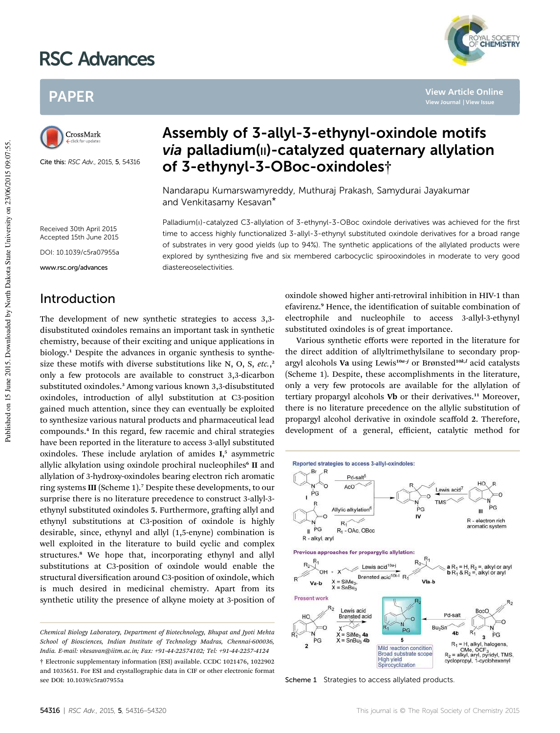# RSC Advances



**View Article Online**

## PAPER



Cite this: RSC Adv., 2015, 5, 54316

### Assembly of 3-allyl-3-ethynyl-oxindole motifs via palladium(II)-catalyzed quaternary allylation of 3-ethynyl-3-OBoc-oxindoles†

Palladium(II)-catalyzed C3-allylation of 3-ethynyl-3-OBoc oxindole derivatives was achieved for the first time to access highly functionalized 3-allyl-3-ethynyl substituted oxindole derivatives for a broad range of substrates in very good yields (up to 94%). The synthetic applications of the allylated products were explored by synthesizing five and six membered carbocyclic spirooxindoles in moderate to very good

Nandarapu Kumarswamyreddy, Muthuraj Prakash, Samydurai Jayakumar and Venkitasamy Kesavan\*

Received 30th April 2015 Accepted 15th June 2015 DOI: 10.1039/c5ra07955a

www.rsc.org/advances

### Introduction

The development of new synthetic strategies to access 3,3 disubstituted oxindoles remains an important task in synthetic chemistry, because of their exciting and unique applications in biology.<sup>1</sup> Despite the advances in organic synthesis to synthesize these motifs with diverse substitutions like N, O, S, *etc.*, 2 only a few protocols are available to construct 3,3-dicarbon substituted oxindoles.<sup>3</sup> Among various known 3,3-disubstituted oxindoles, introduction of allyl substitution at C3-position gained much attention, since they can eventually be exploited to synthesize various natural products and pharmaceutical lead compounds.<sup>4</sup> In this regard, few racemic and chiral strategies have been reported in the literature to access 3-allyl substituted oxindoles. These include arylation of amides I, 5 asymmetric allylic alkylation using oxindole prochiral nucleophiles<sup>6</sup> II and allylation of 3-hydroxy-oxindoles bearing electron rich aromatic ring systems III (Scheme 1).<sup>7</sup> Despite these developments, to our surprise there is no literature precedence to construct 3-allyl-3 ethynyl substituted oxindoles 5. Furthermore, grafting allyl and ethynyl substitutions at C3-position of oxindole is highly desirable, since, ethynyl and allyl (1,5-enyne) combination is well exploited in the literature to build cyclic and complex structures.<sup>8</sup> We hope that, incorporating ethynyl and allyl substitutions at C3-position of oxindole would enable the structural diversification around C3-position of oxindole, which is much desired in medicinal chemistry. Apart from its synthetic utility the presence of alkyne moiety at 3-position of

diastereoselectivities.

*Chemical Biology Laboratory, Department of Biotechnology, Bhupat and Jyoti Mehta School of Biosciences, Indian Institute of Technology Madras, Chennai-600036, India. E-mail: vkesavan@iitm.ac.in; Fax: +91-44-22574102; Tel: +91-44-2257-4124* † Electronic supplementary information (ESI) available. CCDC 1021476, 1022902 and 1035651. For ESI and crystallographic data in CIF or other electronic format see DOI: 10.1039/c5ra07955a

oxindole showed higher anti-retroviral inhibition in HIV-1 than efavirenz.<sup>9</sup> Hence, the identification of suitable combination of electrophile and nucleophile to access 3-allyl-3-ethynyl substituted oxindoles is of great importance.

Various synthetic efforts were reported in the literature for the direct addition of allyltrimethylsilane to secondary propargyl alcohols Va using Lewis<sup>10a-j</sup> or Brønsted<sup>10k,1</sup> acid catalysts (Scheme 1). Despite, these accomplishments in the literature, only a very few protocols are available for the allylation of tertiary propargyl alcohols Vb or their derivatives.<sup>11</sup> Moreover, there is no literature precedence on the allylic substitution of propargyl alcohol derivative in oxindole scaffold 2. Therefore, development of a general, efficient, catalytic method for



Scheme 1 Strategies to access allylated products.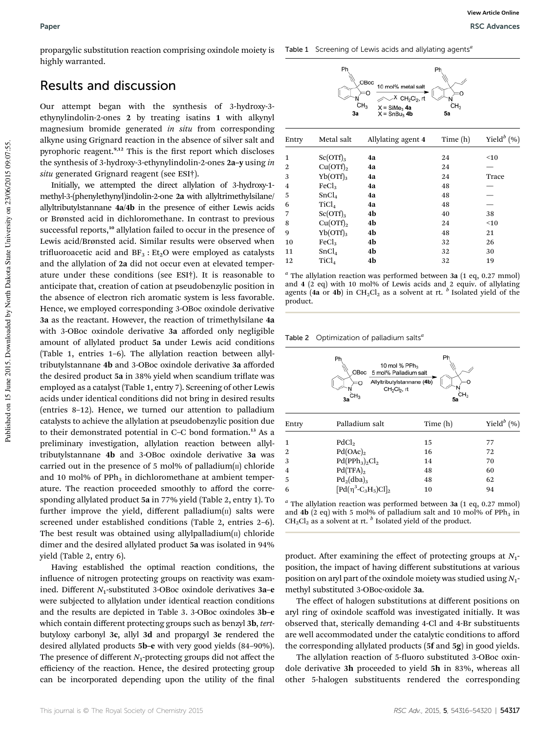propargylic substitution reaction comprising oxindole moiety is highly warranted.

#### Results and discussion

Our attempt began with the synthesis of 3-hydroxy-3 ethynylindolin-2-ones 2 by treating isatins 1 with alkynyl magnesium bromide generated *in situ* from corresponding alkyne using Grignard reaction in the absence of silver salt and pyrophoric reagent.<sup>9,12</sup> This is the first report which discloses the synthesis of 3-hydroxy-3-ethynylindolin-2-ones 2a–y using *in situ* generated Grignard reagent (see ESI†).

Initially, we attempted the direct allylation of 3-hydroxy-1 methyl-3-(phenylethynyl)indolin-2-one 2a with allyltrimethylsilane/ allyltributylstannane 4a/4b in the presence of either Lewis acids or Brønsted acid in dichloromethane. In contrast to previous successful reports,<sup>10</sup> allylation failed to occur in the presence of Lewis acid/Brønsted acid. Similar results were observed when trifluoroacetic acid and  $BF_3$ :  $Et_2O$  were employed as catalysts and the allylation of 2a did not occur even at elevated temperature under these conditions (see ESI†). It is reasonable to anticipate that, creation of cation at pseudobenzylic position in the absence of electron rich aromatic system is less favorable. Hence, we employed corresponding 3-OBoc oxindole derivative 3a as the reactant. However, the reaction of trimethylsilane 4a with 3-OBoc oxindole derivative 3a afforded only negligible amount of allylated product 5a under Lewis acid conditions (Table 1, entries 1–6). The allylation reaction between allyltributylstannane 4b and 3-OBoc oxindole derivative 3a afforded the desired product 5a in 38% yield when scandium triflate was employed as a catalyst (Table 1, entry 7). Screening of other Lewis acids under identical conditions did not bring in desired results (entries 8–12). Hence, we turned our attention to palladium catalysts to achieve the allylation at pseudobenzylic position due to their demonstrated potential in C–C bond formation.<sup>13</sup> As a preliminary investigation, allylation reaction between allyltributylstannane 4b and 3-OBoc oxindole derivative 3a was carried out in the presence of 5 mol% of palladium $(n)$  chloride and 10 mol% of  $PPh<sub>3</sub>$  in dichloromethane at ambient temperature. The reaction proceeded smoothly to afford the corresponding allylated product 5a in 77% yield (Table 2, entry 1). To further improve the yield, different palladium $(n)$  salts were screened under established conditions (Table 2, entries 2–6). The best result was obtained using allylpalladium $(n)$  chloride dimer and the desired allylated product 5a was isolated in 94% yield (Table 2, entry 6).

Having established the optimal reaction conditions, the influence of nitrogen protecting groups on reactivity was examined. Different  $N_1$ -substituted 3-OBoc oxindole derivatives  $3a-e$ were subjected to allylation under identical reaction conditions and the results are depicted in Table 3. 3-OBoc oxindoles 3b–e which contain different protecting groups such as benzyl 3b, *tert*butyloxy carbonyl 3c, allyl 3d and propargyl 3e rendered the desired allylated products 5b–e with very good yields (84–90%). The presence of different  $N_1$ -protecting groups did not affect the efficiency of the reaction. Hence, the desired protecting group can be incorporated depending upon the utility of the final



| Entry          | Metal salt        | Allylating agent 4 | Time $(h)$ | Yield $^b$ (%) |
|----------------|-------------------|--------------------|------------|----------------|
| 1              | $Sc(OTf)_{3}$     | 4a                 | 24         | $<$ 10         |
| 2              | $Cu(OTf)_{2}$     | 4a                 | 24         |                |
| 3              | $Yb(OTf)_{3}$     | 4a                 | 24         | Trace          |
| $\overline{4}$ | FeCl <sub>3</sub> | 4a                 | 48         |                |
| 5              | SnCl <sub>4</sub> | 4a                 | 48         |                |
| 6              | TiCl <sub>4</sub> | 4a                 | 48         |                |
| 7              | $Sc(OTf)_{3}$     | 4b                 | 40         | 38             |
| 8              | $Cu(OTf)_{2}$     | 4b                 | 24         | $<$ 10         |
| 9              | $Yb(OTf)_{3}$     | 4b                 | 48         | 21             |
| 10             | $\text{FeCl}_3$   | 4b                 | 32         | 26             |
| 11             | SnCl <sub>4</sub> | 4b                 | 32         | 30             |
| 12             | TiCl <sub>4</sub> | 4b                 | 32         | 19             |

*a* The allylation reaction was performed between 3a (1 eq, 0.27 mmol) and 4 (2 eq) with 10 mol% of Lewis acids and 2 equiv. of allylating agents (4**a** or 4**b**) in CH<sub>2</sub>Cl<sub>2</sub> as a solvent at rt. <sup>*b*</sup> Isolated yield of the product.

Table 2 Optimization of palladium salts<sup>6</sup>

|                | Ph<br>10 mol % $PPh_3$<br>OBoc<br>5 mol% Palladium salt<br>Allyltributylstannane (4b)<br>٥<br>CH <sub>2</sub> Cl <sub>2</sub> , rt<br>Зa | Ph<br>n<br>ĊН <sub>3</sub><br>5a |                |
|----------------|------------------------------------------------------------------------------------------------------------------------------------------|----------------------------------|----------------|
| Entry          | Palladium salt                                                                                                                           | Time (h)                         | Yield $^b$ (%) |
| 1              | PdCl <sub>2</sub>                                                                                                                        | 15                               | 77             |
| $\mathbf{2}$   | Pd(OAc) <sub>2</sub>                                                                                                                     | 16                               | 72             |
| 3              | $Pd(PPh3)2Cl2$                                                                                                                           | 14                               | 70             |
| $\overline{4}$ | $Pd(TFA)_{2}$                                                                                                                            | 48                               | 60             |
| 5              | $Pd_2(dba)_3$                                                                                                                            | 48                               | 62             |
| 6              | $\left[\text{Pd}(\eta^3\text{-}C_3H_5)\text{Cl}\right]_2$                                                                                | 10                               | 94             |

*a* The allylation reaction was performed between 3a (1 eq, 0.27 mmol) and **4b** (2 eq) with 5 mol% of palladium salt and 10 mol% of PPh<sub>3</sub> in CH<sub>2</sub>Cl<sub>2</sub> as a solvent at rt. <sup>*b*</sup> Isolated yield of the product.

product. After examining the effect of protecting groups at *N*<sub>1</sub>position, the impact of having different substitutions at various position on aryl part of the oxindole moiety was studied using *N*1 methyl substituted 3-OBoc-oxidole 3a.

The effect of halogen substitutions at different positions on aryl ring of oxindole scaffold was investigated initially. It was observed that, sterically demanding 4-Cl and 4-Br substituents are well accommodated under the catalytic conditions to afford the corresponding allylated products (5f and 5g) in good yields.

The allylation reaction of 5-fluoro substituted 3-OBoc oxindole derivative 3h proceeded to yield 5h in 83%, whereas all other 5-halogen substituents rendered the corresponding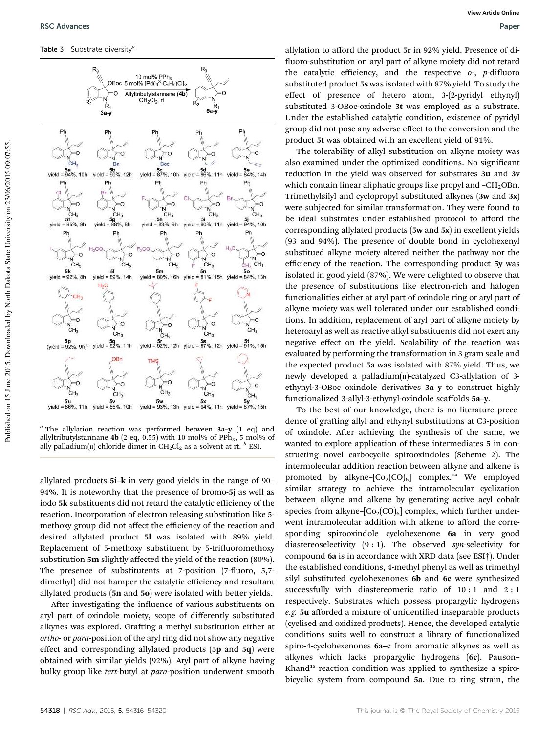Table 3 Substrate diversity<sup>4</sup>



*a* The allylation reaction was performed between 3a–y (1 eq) and allyltributylstannane 4b (2 eq, 0.55) with 10 mol% of PPh<sub>3</sub>, 5 mol% of ally palladium(11) chloride dimer in CH2Cl2 as a solvent at rt. <sup>*b*</sup> ESI.

allylated products 5i–k in very good yields in the range of 90– 94%. It is noteworthy that the presence of bromo-5j as well as iodo 5k substituents did not retard the catalytic efficiency of the reaction. Incorporation of electron releasing substitution like 5 methoxy group did not affect the efficiency of the reaction and desired allylated product 5l was isolated with 89% yield. Replacement of 5-methoxy substituent by 5-trifluoromethoxy substitution 5m slightly affected the yield of the reaction (80%). The presence of substitutents at  $7$ -position ( $7$ -fluoro,  $5,7$ dimethyl) did not hamper the catalytic efficiency and resultant allylated products (5n and 5o) were isolated with better yields.

After investigating the influence of various substituents on aryl part of oxindole moiety, scope of differently substituted alkynes was explored. Grafting a methyl substitution either at *ortho*- or *para*-position of the aryl ring did not show any negative effect and corresponding allylated products (5p and 5q) were obtained with similar yields (92%). Aryl part of alkyne having bulky group like *tert*-butyl at *para*-position underwent smooth

allylation to afford the product 5r in 92% yield. Presence of di fluoro-substitution on aryl part of alkyne moiety did not retard the catalytic efficiency, and the respective  $o$ -, *p*-difluoro substituted product 5s was isolated with 87% yield. To study the effect of presence of hetero atom, 3-(2-pyridyl ethynyl) substituted 3-OBoc-oxindole 3t was employed as a substrate. Under the established catalytic condition, existence of pyridyl group did not pose any adverse effect to the conversion and the product 5t was obtained with an excellent yield of 91%.

The tolerability of alkyl substitution on alkyne moiety was also examined under the optimized conditions. No significant reduction in the yield was observed for substrates 3u and 3v which contain linear aliphatic groups like propyl and  $-CH<sub>2</sub>OBn$ . Trimethylsilyl and cyclopropyl substituted alkynes (3w and 3x) were subjected for similar transformation. They were found to be ideal substrates under established protocol to afford the corresponding allylated products (5w and 5x) in excellent yields (93 and 94%). The presence of double bond in cyclohexenyl substitued alkyne moiety altered neither the pathway nor the efficiency of the reaction. The corresponding product 5y was isolated in good yield (87%). We were delighted to observe that the presence of substitutions like electron-rich and halogen functionalities either at aryl part of oxindole ring or aryl part of alkyne moiety was well tolerated under our established conditions. In addition, replacement of aryl part of alkyne moiety by heteroaryl as well as reactive alkyl substituents did not exert any negative effect on the yield. Scalability of the reaction was evaluated by performing the transformation in 3 gram scale and the expected product 5a was isolated with 87% yield. Thus, we newly developed a palladium $(n)$ -catalyzed C3-allylation of 3ethynyl-3-OBoc oxindole derivatives 3a–y to construct highly functionalized 3-allyl-3-ethynyl-oxindole scaffolds 5a–y.

To the best of our knowledge, there is no literature precedence of grafting allyl and ethynyl substitutions at C3-position of oxindole. After achieving the synthesis of the same, we wanted to explore application of these intermediates 5 in constructing novel carbocyclic spirooxindoles (Scheme 2). The intermolecular addition reaction between alkyne and alkene is promoted by alkyne– $[Co_2(CO)_6]$  complex.<sup>14</sup> We employed similar strategy to achieve the intramolecular cyclization between alkyne and alkene by generating active acyl cobalt species from alkyne- $[Co_2(CO)_6]$  complex, which further underwent intramolecular addition with alkene to afford the corresponding spirooxindole cyclohexenone 6a in very good diastereoselectivity (9 : 1). The observed *syn*-selectivity for compound 6a is in accordance with XRD data (see ESI†). Under the established conditions, 4-methyl phenyl as well as trimethyl silyl substituted cyclohexenones 6b and 6c were synthesized successfully with diastereomeric ratio of 10:1 and 2:1 respectively. Substrates which possess propargylic hydrogens *e.g.* 5u afforded a mixture of unidentified inseparable products (cyclised and oxidized products). Hence, the developed catalytic conditions suits well to construct a library of functionalized spiro-4-cyclohexenones 6a–c from aromatic alkynes as well as alkynes which lacks propargylic hydrogens (6c). Pauson– Khand<sup>15</sup> reaction condition was applied to synthesize a spirobicyclic system from compound 5a. Due to ring strain, the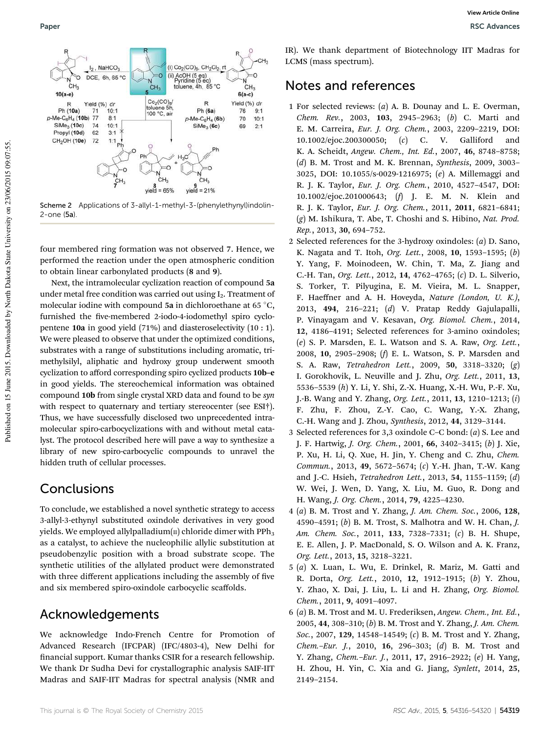

Scheme 2 Applications of 3-allyl-1-methyl-3-(phenylethynyl)indolin-2-one (5a).

four membered ring formation was not observed 7. Hence, we performed the reaction under the open atmospheric condition to obtain linear carbonylated products (8 and 9).

Next, the intramolecular cyclization reaction of compound 5a under metal free condition was carried out using  $I_2$ . Treatment of molecular iodine with compound 5a in dichloroethane at 65 $\degree$ C, furnished the five-membered 2-iodo-4-iodomethyl spiro cyclopentene 10a in good yield (71%) and diasteroselectivity (10 : 1). We were pleased to observe that under the optimized conditions, substrates with a range of substitutions including aromatic, trimethylsilyl, aliphatic and hydroxy group underwent smooth cyclization to afford corresponding spiro cyclized products 10b–e in good yields. The stereochemical information was obtained compound 10b from single crystal XRD data and found to be *syn* with respect to quaternary and tertiary stereocenter (see ESI†). Thus, we have successfully disclosed two unprecedented intramolecular spiro-carbocyclizations with and without metal catalyst. The protocol described here will pave a way to synthesize a library of new spiro-carbocyclic compounds to unravel the hidden truth of cellular processes.

#### Conclusions

To conclude, we established a novel synthetic strategy to access 3-allyl-3-ethynyl substituted oxindole derivatives in very good yields. We employed allylpalladium $(n)$  chloride dimer with PPh<sub>3</sub> as a catalyst, to achieve the nucleophilic allylic substitution at pseudobenzylic position with a broad substrate scope. The synthetic utilities of the allylated product were demonstrated with three different applications including the assembly of five and six membered spiro-oxindole carbocyclic scaffolds.

#### Acknowledgements

We acknowledge Indo-French Centre for Promotion of Advanced Research (IFCPAR) (IFC/4803-4), New Delhi for financial support. Kumar thanks CSIR for a research fellowship. We thank Dr Sudha Devi for crystallographic analysis SAIF-IIT Madras and SAIF-IIT Madras for spectral analysis (NMR and

IR). We thank department of Biotechnology IIT Madras for LCMS (mass spectrum).

#### Notes and references

- 1 For selected reviews: (*a*) A. B. Dounay and L. E. Overman, *Chem. Rev.*, 2003, 103, 2945–2963; (*b*) C. Marti and E. M. Carreira, *Eur. J. Org. Chem.*, 2003, 2209–2219, DOI: 10.1002/ejoc.200300050; (*c*) C. V. Galliford and K. A. Scheidt, *Angew. Chem., Int. Ed.*, 2007, 46, 8748–8758; (*d*) B. M. Trost and M. K. Brennan, *Synthesis*, 2009, 3003– 3025, DOI: 10.1055/s-0029-1216975; (*e*) A. Millemaggi and R. J. K. Taylor, *Eur. J. Org. Chem.*, 2010, 4527–4547, DOI: 10.1002/ejoc.201000643; (*f*) J. E. M. N. Klein and R. J. K. Taylor, *Eur. J. Org. Chem.*, 2011, 2011, 6821–6841; (*g*) M. Ishikura, T. Abe, T. Choshi and S. Hibino, *Nat. Prod. Rep.*, 2013, 30, 694–752.
- 2 Selected references for the 3-hydroxy oxindoles: (*a*) D. Sano, K. Nagata and T. Itoh, *Org. Lett.*, 2008, 10, 1593–1595; (*b*) Y. Yang, F. Moinodeen, W. Chin, T. Ma, Z. Jiang and C.-H. Tan, *Org. Lett.*, 2012, 14, 4762–4765; (*c*) D. L. Silverio, S. Torker, T. Pilyugina, E. M. Vieira, M. L. Snapper, F. Haeffner and A. H. Hoveyda, *Nature (London, U. K.)*, 2013, 494, 216–221; (*d*) V. Pratap Reddy Gajulapalli, P. Vinayagam and V. Kesavan, *Org. Biomol. Chem.*, 2014, 12, 4186–4191; Selected references for 3-amino oxindoles; (*e*) S. P. Marsden, E. L. Watson and S. A. Raw, *Org. Lett.*, 2008, 10, 2905–2908; (*f*) E. L. Watson, S. P. Marsden and S. A. Raw, *Tetrahedron Lett.*, 2009, 50, 3318–3320; (*g*) I. Gorokhovik, L. Neuville and J. Zhu, *Org. Lett.*, 2011, 13, 5536–5539 (*h*) Y. Li, Y. Shi, Z.-X. Huang, X.-H. Wu, P.-F. Xu, J.-B. Wang and Y. Zhang, *Org. Lett.*, 2011, 13, 1210–1213; (*i*) F. Zhu, F. Zhou, Z.-Y. Cao, C. Wang, Y.-X. Zhang, C.-H. Wang and J. Zhou, *Synthesis*, 2012, 44, 3129–3144.
- 3 Selected references for 3,3 oxindole C–C bond: (*a*) S. Lee and J. F. Hartwig, *J. Org. Chem.*, 2001, 66, 3402–3415; (*b*) J. Xie, P. Xu, H. Li, Q. Xue, H. Jin, Y. Cheng and C. Zhu, *Chem. Commun.*, 2013, 49, 5672–5674; (*c*) Y.-H. Jhan, T.-W. Kang and J.-C. Hsieh, *Tetrahedron Lett.*, 2013, 54, 1155–1159; (*d*) W. Wei, J. Wen, D. Yang, X. Liu, M. Guo, R. Dong and H. Wang, *J. Org. Chem.*, 2014, 79, 4225–4230.
- 4 (*a*) B. M. Trost and Y. Zhang, *J. Am. Chem. Soc.*, 2006, 128, 4590–4591; (*b*) B. M. Trost, S. Malhotra and W. H. Chan, *J. Am. Chem. Soc.*, 2011, 133, 7328–7331; (*c*) B. H. Shupe, E. E. Allen, J. P. MacDonald, S. O. Wilson and A. K. Franz, *Org. Lett.*, 2013, 15, 3218–3221.
- 5 (*a*) X. Luan, L. Wu, E. Drinkel, R. Mariz, M. Gatti and R. Dorta, *Org. Lett.*, 2010, 12, 1912–1915; (*b*) Y. Zhou, Y. Zhao, X. Dai, J. Liu, L. Li and H. Zhang, *Org. Biomol. Chem.*, 2011, 9, 4091–4097.
- 6 (*a*) B. M. Trost and M. U. Frederiksen, *Angew. Chem., Int. Ed.*, 2005, 44, 308–310; (*b*) B. M. Trost and Y. Zhang, *J. Am. Chem. Soc.*, 2007, 129, 14548–14549; (*c*) B. M. Trost and Y. Zhang, *Chem.*–*Eur. J.*, 2010, 16, 296–303; (*d*) B. M. Trost and Y. Zhang, *Chem.*–*Eur. J.*, 2011, 17, 2916–2922; (*e*) H. Yang, H. Zhou, H. Yin, C. Xia and G. Jiang, *Synlett*, 2014, 25, 2149–2154.